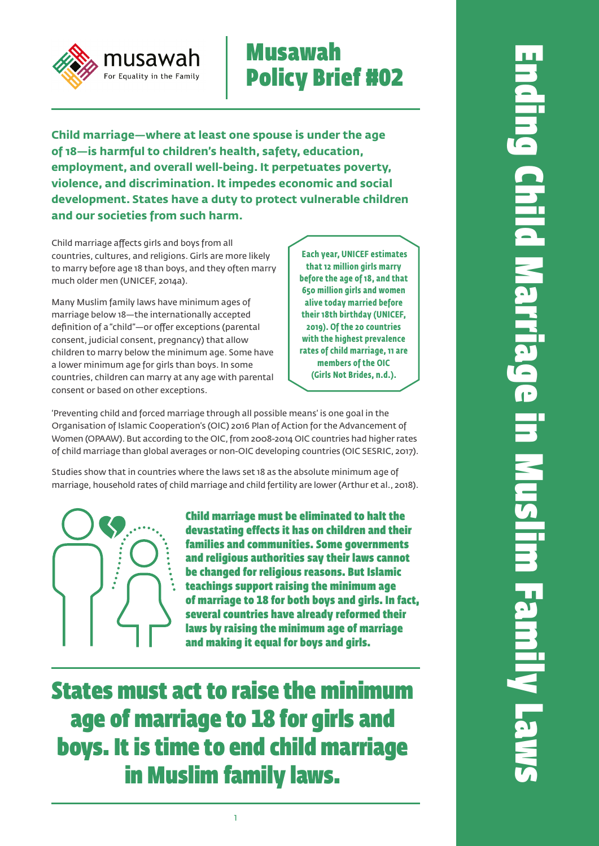# musawah For Equality in the Family

# Musawah Policy Brief #02

**Child marriage—where at least one spouse is under the age of 18—is harmful to children's health, safety, education, employment, and overall well-being. It perpetuates poverty, violence, and discrimination. It impedes economic and social development. States have a duty to protect vulnerable children and our societies from such harm.** 

Child marriage affects girls and boys from all countries, cultures, and religions. Girls are more likely to marry before age 18 than boys, and they often marry much older men (UNICEF, 2014a).

Many Muslim family laws have minimum ages of marriage below 18—the internationally accepted definition of a "child"—or offer exceptions (parental consent, judicial consent, pregnancy) that allow children to marry below the minimum age. Some have a lower minimum age for girls than boys. In some countries, children can marry at any age with parental consent or based on other exceptions.

 **Each year, UNICEF estimates that 12 million girls marry before the age of 18, and that 650 million girls and women alive today married before their 18th birthday (UNICEF, 2019). Of the 20 countries with the highest prevalence rates of child marriage, 11 are members of the OIC (Girls Not Brides, n.d.).**

'Preventing child and forced marriage through all possible means' is one goal in the Organisation of Islamic Cooperation's (OIC) 2016 Plan of Action for the Advancement of Women (OPAAW). But according to the OIC, from 2008-2014 OIC countries had higher rates of child marriage than global averages or non-OIC developing countries (OIC SESRIC, 2017).

Studies show that in countries where the laws set 18 as the absolute minimum age of marriage, household rates of child marriage and child fertility are lower (Arthur et al., 2018).



Child marriage must be eliminated to halt the devastating effects it has on children and their families and communities. Some governments and religious authorities say their laws cannot be changed for religious reasons. But Islamic teachings support raising the minimum age of marriage to 18 for both boys and girls. In fact, several countries have already reformed their laws by raising the minimum age of marriage and making it equal for boys and girls.

States must act to raise the minimum age of marriage to 18 for girls and boys. It is time to end child marriage in Muslim family laws.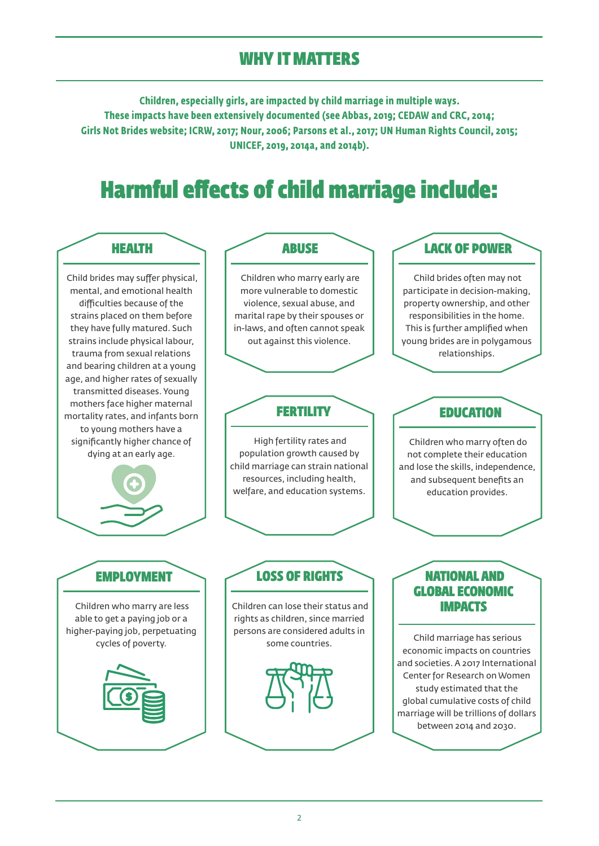## WHY IT MATTERS

**Children, especially girls, are impacted by child marriage in multiple ways. These impacts have been extensively documented (see Abbas, 2019; CEDAW and CRC, 2014; Girls Not Brides website; ICRW, 2017; Nour, 2006; Parsons et al., 2017; UN Human Rights Council, 2015; UNICEF, 2019, 2014a, and 2014b).**

# Harmful effects of child marriage include:



 Child brides may suffer physical, mental, and emotional health difficulties because of the strains placed on them before they have fully matured. Such strains include physical labour, trauma from sexual relations and bearing children at a young age, and higher rates of sexually transmitted diseases. Young mothers face higher maternal mortality rates, and infants born to young mothers have a significantly higher chance of dying at an early age.



#### ABUSE

 Children who marry early are more vulnerable to domestic violence, sexual abuse, and marital rape by their spouses or in-laws, and often cannot speak out against this violence.

### **FERTILITY**

 High fertility rates and population growth caused by child marriage can strain national resources, including health, welfare, and education systems.

### LACK OF POWER

 Child brides often may not participate in decision-making, property ownership, and other responsibilities in the home. This is further amplified when young brides are in polygamous relationships.

### EDUCATION

 Children who marry often do not complete their education and lose the skills, independence, and subsequent benefits an education provides.

### **EMPLOYMENT**

 Children who marry are less able to get a paying job or a higher-paying job, perpetuating cycles of poverty.



### LOSS OF RIGHTS

 Children can lose their status and rights as children, since married persons are considered adults in some countries.

### NATIONAL AND GLOBAL ECONOMIC IMPACTS

 Child marriage has serious economic impacts on countries and societies. A 2017 International Center for Research on Women study estimated that the global cumulative costs of child marriage will be trillions of dollars between 2014 and 2030.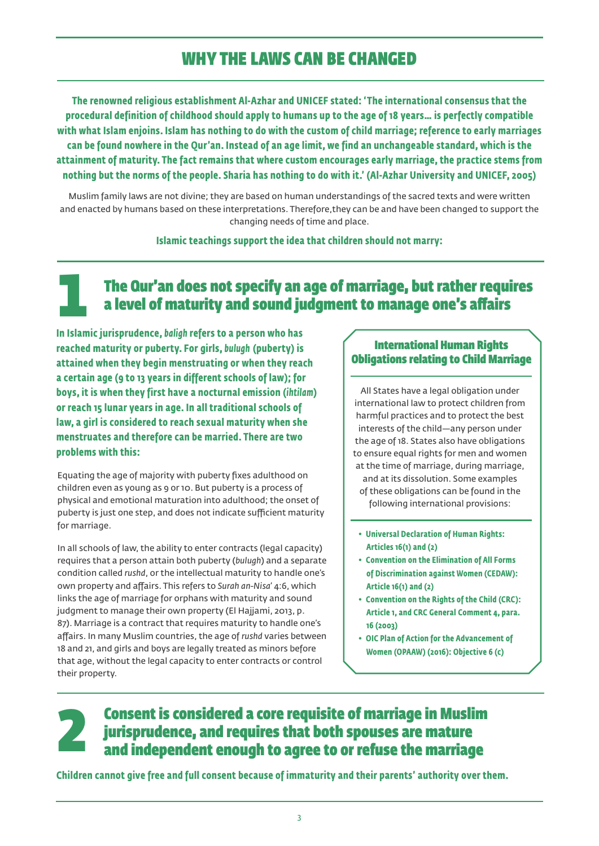## WHY THE LAWS CAN BE CHANGED

**The renowned religious establishment Al-Azhar and UNICEF stated: 'The international consensus that the procedural definition of childhood should apply to humans up to the age of 18 years… is perfectly compatible with what Islam enjoins. Islam has nothing to do with the custom of child marriage; reference to early marriages can be found nowhere in the Qur'an. Instead of an age limit, we find an unchangeable standard, which is the attainment of maturity. The fact remains that where custom encourages early marriage, the practice stems from nothing but the norms of the people. Sharia has nothing to do with it.' (Al-Azhar University and UNICEF, 2005)**

Muslim family laws are not divine; they are based on human understandings of the sacred texts and were written and enacted by humans based on these interpretations. Therefore,they can be and have been changed to support the changing needs of time and place.

#### **Islamic teachings support the idea that children should not marry:**

### The Qur'an does not specify an age of marriage, but rather requires a level of maturity and sound judgment to manage one's affairs 1

**In Islamic jurisprudence,** *baligh* **refers to a person who has reached maturity or puberty. For girls,** *bulugh* **(puberty) is attained when they begin menstruating or when they reach a certain age (9 to 13 years in different schools of law); for boys, it is when they first have a nocturnal emission (***ihtilam***) or reach 15 lunar years in age. In all traditional schools of law, a girl is considered to reach sexual maturity when she menstruates and therefore can be married. There are two problems with this:** 

Equating the age of majority with puberty fixes adulthood on children even as young as 9 or 10. But puberty is a process of physical and emotional maturation into adulthood; the onset of puberty is just one step, and does not indicate sufficient maturity for marriage.

In all schools of law, the ability to enter contracts (legal capacity) requires that a person attain both puberty (*bulugh*) and a separate condition called *rushd*, or the intellectual maturity to handle one's own property and affairs. This refers to *Surah an-Nisa*' 4:6, which links the age of marriage for orphans with maturity and sound judgment to manage their own property (El Hajjami, 2013, p. 87). Marriage is a contract that requires maturity to handle one's affairs. In many Muslim countries, the age of *rushd* varies between 18 and 21, and girls and boys are legally treated as minors before that age, without the legal capacity to enter contracts or control their property.

#### International Human Rights Obligations relating to Child Marriage

All States have a legal obligation under international law to protect children from harmful practices and to protect the best interests of the child—any person under the age of 18. States also have obligations to ensure equal rights for men and women at the time of marriage, during marriage, and at its dissolution. Some examples of these obligations can be found in the following international provisions:

- **Universal Declaration of Human Rights: Articles 16(1) and (2)**
- **Convention on the Elimination of All Forms of Discrimination against Women (CEDAW): Article 16(1) and (2)**
- **Convention on the Rights of the Child (CRC): Article 1, and CRC General Comment 4, para. 16 (2003)**
- **OIC Plan of Action for the Advancement of Women (OPAAW) (2016): Objective 6 (c)**

#### Consent is considered a core requisite of marriage in Muslim jurisprudence, and requires that both spouses are mature and independent enough to agree to or refuse the marriage 2

**Children cannot give free and full consent because of immaturity and their parents' authority over them.**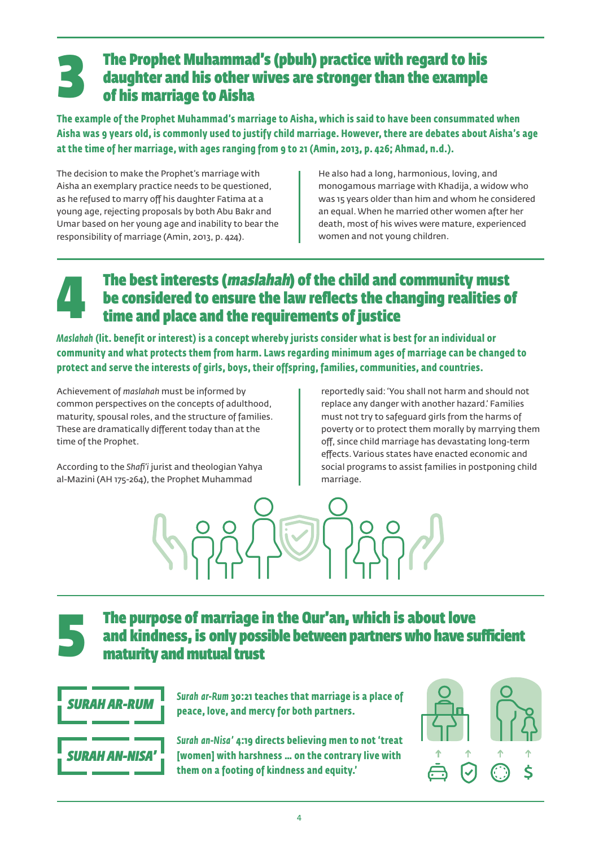### The Prophet Muhammad's (pbuh) practice with regard to his daughter and his other wives are stronger than the example of his marriage to Aisha 3

**The example of the Prophet Muhammad's marriage to Aisha, which is said to have been consummated when Aisha was 9 years old, is commonly used to justify child marriage. However, there are debates about Aisha's age at the time of her marriage, with ages ranging from 9 to 21 (Amin, 2013, p. 426; Ahmad, n.d.).** 

The decision to make the Prophet's marriage with Aisha an exemplary practice needs to be questioned, as he refused to marry off his daughter Fatima at a young age, rejecting proposals by both Abu Bakr and Umar based on her young age and inability to bear the responsibility of marriage (Amin, 2013, p. 424).

He also had a long, harmonious, loving, and monogamous marriage with Khadija, a widow who was 15 years older than him and whom he considered an equal. When he married other women after her death, most of his wives were mature, experienced women and not young children.

### The best interests (maslahah) of the child and community must be considered to ensure the law reflects the changing realities of time and place and the requirements of justice 4

*Maslahah* **(lit. benefit or interest) is a concept whereby jurists consider what is best for an individual or community and what protects them from harm. Laws regarding minimum ages of marriage can be changed to protect and serve the interests of girls, boys, their offspring, families, communities, and countries.** 

Achievement of *maslahah* must be informed by common perspectives on the concepts of adulthood, maturity, spousal roles, and the structure of families. These are dramatically different today than at the time of the Prophet.

According to the *Shafi'i* jurist and theologian Yahya al-Mazini (AH 175-264), the Prophet Muhammad

reportedly said: 'You shall not harm and should not replace any danger with another hazard.' Families must not try to safeguard girls from the harms of poverty or to protect them morally by marrying them off, since child marriage has devastating long-term effects. Various states have enacted economic and social programs to assist families in postponing child marriage.



### The purpose of marriage in the Qur'an, which is about love and kindness, is only possible between partners who have sufficient maturity and mutual trust



5

*Surah ar-Rum* **30:21 teaches that marriage is a place of peace, love, and mercy for both partners.**

*Surah an-Nisa'* **4:19 directs believing men to not 'treat [women] with harshness … on the contrary live with them on a footing of kindness and equity.'**

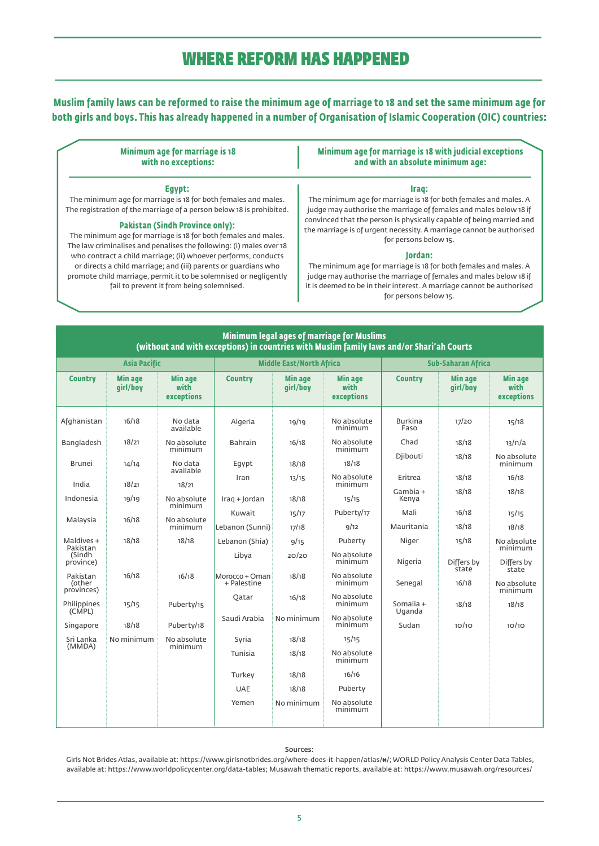### WHERE REFORM HAS HAPPENED

**Muslim family laws can be reformed to raise the minimum age of marriage to 18 and set the same minimum age for both girls and boys. This has already happened in a number of Organisation of Islamic Cooperation (OIC) countries:** 

| <b>Minimum age for marriage is 18</b><br>with no exceptions:                                                                                                                    | Minimum age for marriage is 18 with judicial exceptions<br>and with an absolute minimum age:                                                                          |  |  |  |
|---------------------------------------------------------------------------------------------------------------------------------------------------------------------------------|-----------------------------------------------------------------------------------------------------------------------------------------------------------------------|--|--|--|
| Eqvpt:                                                                                                                                                                          | Iraq:                                                                                                                                                                 |  |  |  |
| The minimum age for marriage is 18 for both females and males.                                                                                                                  | The minimum age for marriage is 18 for both females and males. A                                                                                                      |  |  |  |
| The registration of the marriage of a person below 18 is prohibited.                                                                                                            | judge may authorise the marriage of females and males below 18 if                                                                                                     |  |  |  |
| <b>Pakistan (Sindh Province only):</b><br>The minimum age for marriage is 18 for both females and males.<br>The law criminalises and penalises the following: (i) males over 18 | convinced that the person is physically capable of being married and<br>the marriage is of urgent necessity. A marriage cannot be authorised<br>for persons below 15. |  |  |  |
| who contract a child marriage; (ii) whoever performs, conducts                                                                                                                  | lordan:                                                                                                                                                               |  |  |  |
| or directs a child marriage; and (iii) parents or guardians who                                                                                                                 | The minimum age for marriage is 18 for both females and males. A                                                                                                      |  |  |  |
| promote child marriage, permit it to be solemnised or negligently                                                                                                               | judge may authorise the marriage of females and males below 18 if                                                                                                     |  |  |  |
| fail to prevent it from being solemnised.                                                                                                                                       | it is deemed to be in their interest. A marriage cannot be authorised                                                                                                 |  |  |  |
|                                                                                                                                                                                 | for persons below 15.                                                                                                                                                 |  |  |  |

| Minimum legal ages of marriage for Muslims<br>(without and with exceptions) in countries with Muslim family laws and/or Shari'ah Courts |                            |                                      |                               |                            |                                      |                        |                            |                                      |  |
|-----------------------------------------------------------------------------------------------------------------------------------------|----------------------------|--------------------------------------|-------------------------------|----------------------------|--------------------------------------|------------------------|----------------------------|--------------------------------------|--|
| <b>Asia Pacific</b>                                                                                                                     |                            | <b>Middle East/North Africa</b>      |                               |                            | <b>Sub-Saharan Africa</b>            |                        |                            |                                      |  |
| <b>Country</b>                                                                                                                          | <b>Min age</b><br>qirl/boy | <b>Min age</b><br>with<br>exceptions | <b>Country</b>                | <b>Min age</b><br>qirl/boy | <b>Min age</b><br>with<br>exceptions | <b>Country</b>         | <b>Min age</b><br>qirl/boy | <b>Min age</b><br>with<br>exceptions |  |
| Afghanistan                                                                                                                             | 16/18                      | No data<br>available                 | Algeria                       | 19/19                      | No absolute<br>minimum               | <b>Burkina</b><br>Faso | 17/20                      | 15/18                                |  |
| Bangladesh                                                                                                                              | 18/21                      | No absolute<br>minimum               | <b>Bahrain</b>                | 16/18                      | No absolute<br>minimum               | Chad                   | 18/18                      | 13/n/a                               |  |
| <b>Brunei</b>                                                                                                                           | 14/14                      | No data<br>available                 | Eqypt                         | 18/18                      | 18/18                                | <b>Diibouti</b>        | 18/18                      | No absolute<br>minimum               |  |
| India                                                                                                                                   | 18/21                      | 18/21                                | Iran                          | 13/15                      | No absolute<br>minimum               | Eritrea                | 18/18                      | 16/18                                |  |
| Indonesia                                                                                                                               | 19/19                      | No absolute<br>minimum               | Iraq + Jordan                 | 18/18                      | 15/15                                | Gambia +<br>Kenya      | 18/18                      | 18/18                                |  |
| Malaysia                                                                                                                                | 16/18                      | No absolute                          | Kuwait                        | 15/17                      | Puberty/17                           | Mali                   | 16/18                      | 15/15                                |  |
|                                                                                                                                         |                            | minimum                              | Lebanon (Sunni)               | 17/18                      | 9/12                                 | Mauritania             | 18/18                      | 18/18                                |  |
| Maldives +<br>Pakistan                                                                                                                  | 18/18                      | 18/18                                | Lebanon (Shia)                | 9/15                       | Puberty                              | Niger                  | 15/18                      | No absolute<br>minimum               |  |
| (Sindh<br>province)                                                                                                                     |                            |                                      | Libya                         | 20/20                      | No absolute<br>minimum               | Nigeria                | Differs by<br>state        | Differs by<br>state                  |  |
| Pakistan<br>(other                                                                                                                      | 16/18                      | 16/18                                | Morocco + Oman<br>+ Palestine | 18/18                      | No absolute<br>minimum               | Senegal                | 16/18                      | No absolute                          |  |
| provinces)<br>Philippines                                                                                                               | 15/15                      | Puberty/15                           | Oatar                         | 16/18                      | No absolute<br>minimum               | Somalia +              | 18/18                      | minimum<br>18/18                     |  |
| (CMPL)<br>Singapore                                                                                                                     | 18/18                      | Puberty/18                           | Saudi Arabia                  | No minimum                 | No absolute<br>minimum               | Uganda<br>Sudan        | 10/10                      | 10/10                                |  |
| Sri Lanka<br>(MMDA)                                                                                                                     | No minimum                 | No absolute<br>minimum               | Syria                         | 18/18                      | 15/15                                |                        |                            |                                      |  |
|                                                                                                                                         |                            |                                      | Tunisia                       | 18/18                      | No absolute<br>minimum               |                        |                            |                                      |  |
|                                                                                                                                         |                            |                                      | Turkey                        | 18/18                      | 16/16                                |                        |                            |                                      |  |
|                                                                                                                                         |                            |                                      | <b>UAE</b>                    | 18/18                      | Puberty                              |                        |                            |                                      |  |
|                                                                                                                                         |                            |                                      | Yemen                         | No minimum                 | No absolute<br>minimum               |                        |                            |                                      |  |

#### Sources:

 Girls Not Brides Atlas, available at: https://www.girlsnotbrides.org/where-does-it-happen/atlas/#/; WORLD Policy Analysis Center Data Tables, available at: https://www.worldpolicycenter.org/data-tables; Musawah thematic reports, available at: https://www.musawah.org/resources/